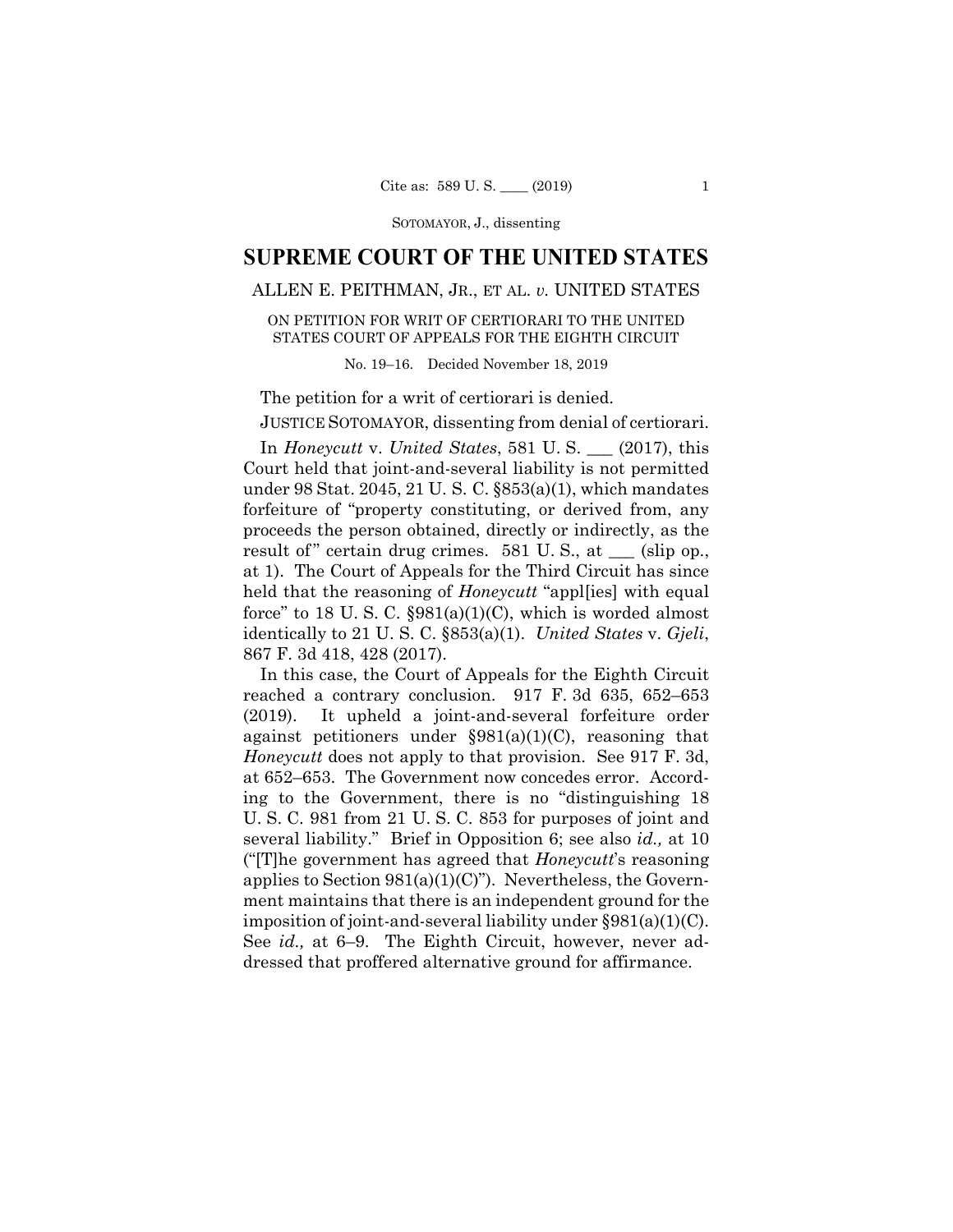SOTOMAYOR, J., dissenting

# **SUPREME COURT OF THE UNITED STATES**

## ALLEN E. PEITHMAN, JR., ET AL. *v.* UNITED STATES

### ON PETITION FOR WRIT OF CERTIORARI TO THE UNITED STATES COURT OF APPEALS FOR THE EIGHTH CIRCUIT

#### No. 19–16. Decided November 18, 2019

The petition for a writ of certiorari is denied.

JUSTICE SOTOMAYOR, dissenting from denial of certiorari.

 In *Honeycutt* v. *United States*, 581 U. S. \_\_\_ (2017), this Court held that joint-and-several liability is not permitted under 98 Stat. 2045, 21 U. S. C. §853(a)(1), which mandates forfeiture of "property constituting, or derived from, any proceeds the person obtained, directly or indirectly, as the result of" certain drug crimes.  $581$  U. S., at  $\_\_\_$  (slip op., at 1). The Court of Appeals for the Third Circuit has since held that the reasoning of *Honeycutt* "appl[ies] with equal force" to 18 U.S.C.  $\S 981(a)(1)(C)$ , which is worded almost identically to 21 U. S. C. §853(a)(1). *United States* v. *Gjeli*, 867 F. 3d 418, 428 (2017).

 imposition of joint-and-several liability under §981(a)(1)(C). In this case, the Court of Appeals for the Eighth Circuit reached a contrary conclusion. 917 F. 3d 635, 652–653 (2019). It upheld a joint-and-several forfeiture order against petitioners under  $\S 981(a)(1)(C)$ , reasoning that *Honeycutt* does not apply to that provision. See 917 F. 3d, at 652–653. The Government now concedes error. According to the Government, there is no "distinguishing 18 U. S. C. 981 from 21 U. S. C. 853 for purposes of joint and several liability." Brief in Opposition 6; see also *id.,* at 10 ("[T]he government has agreed that *Honeycutt*'s reasoning applies to Section  $981(a)(1)(C)$ "). Nevertheless, the Government maintains that there is an independent ground for the See *id.,* at 6–9. The Eighth Circuit, however, never addressed that proffered alternative ground for affirmance.